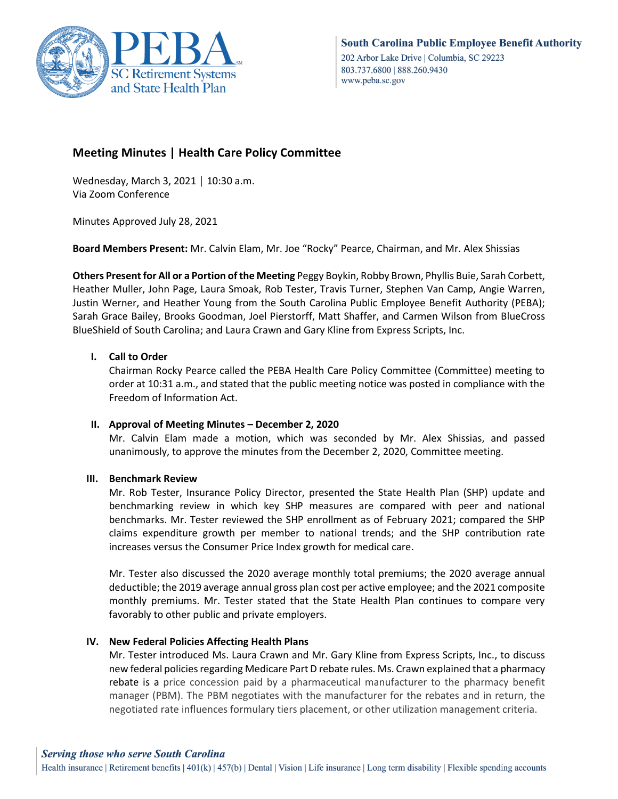

# **Meeting Minutes | Health Care Policy Committee**

Wednesday, March 3, 2021 │ 10:30 a.m. Via Zoom Conference

Minutes Approved July 28, 2021

**Board Members Present:** Mr. Calvin Elam, Mr. Joe "Rocky" Pearce, Chairman, and Mr. Alex Shissias

**Others Present for All or a Portion of the Meeting** Peggy Boykin, Robby Brown, Phyllis Buie, Sarah Corbett, Heather Muller, John Page, Laura Smoak, Rob Tester, Travis Turner, Stephen Van Camp, Angie Warren, Justin Werner, and Heather Young from the South Carolina Public Employee Benefit Authority (PEBA); Sarah Grace Bailey, Brooks Goodman, Joel Pierstorff, Matt Shaffer, and Carmen Wilson from BlueCross BlueShield of South Carolina; and Laura Crawn and Gary Kline from Express Scripts, Inc.

## **I. Call to Order**

Chairman Rocky Pearce called the PEBA Health Care Policy Committee (Committee) meeting to order at 10:31 a.m., and stated that the public meeting notice was posted in compliance with the Freedom of Information Act.

#### **II. Approval of Meeting Minutes – December 2, 2020**

Mr. Calvin Elam made a motion, which was seconded by Mr. Alex Shissias, and passed unanimously, to approve the minutes from the December 2, 2020, Committee meeting.

## **III. Benchmark Review**

Mr. Rob Tester, Insurance Policy Director, presented the State Health Plan (SHP) update and benchmarking review in which key SHP measures are compared with peer and national benchmarks. Mr. Tester reviewed the SHP enrollment as of February 2021; compared the SHP claims expenditure growth per member to national trends; and the SHP contribution rate increases versus the Consumer Price Index growth for medical care.

Mr. Tester also discussed the 2020 average monthly total premiums; the 2020 average annual deductible; the 2019 average annual gross plan cost per active employee; and the 2021 composite monthly premiums. Mr. Tester stated that the State Health Plan continues to compare very favorably to other public and private employers.

## **IV. New Federal Policies Affecting Health Plans**

Mr. Tester introduced Ms. Laura Crawn and Mr. Gary Kline from Express Scripts, Inc., to discuss new federal policies regarding Medicare Part D rebate rules. Ms. Crawn explained that a pharmacy rebate is a price concession paid by a pharmaceutical manufacturer to the pharmacy benefit manager (PBM). The PBM negotiates with the manufacturer for the rebates and in return, the negotiated rate influences formulary tiers placement, or other utilization management criteria.